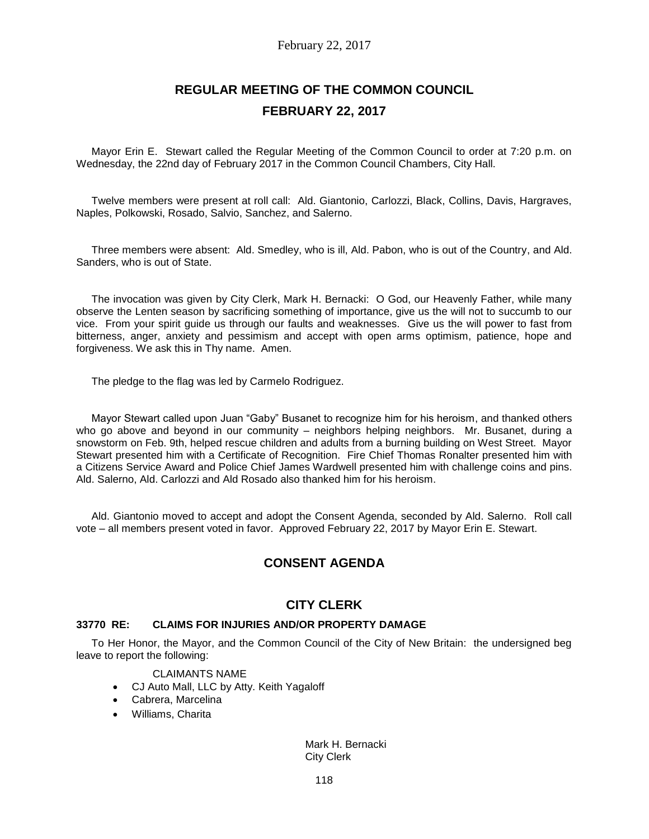# **REGULAR MEETING OF THE COMMON COUNCIL FEBRUARY 22, 2017**

Mayor Erin E. Stewart called the Regular Meeting of the Common Council to order at 7:20 p.m. on Wednesday, the 22nd day of February 2017 in the Common Council Chambers, City Hall.

Twelve members were present at roll call: Ald. Giantonio, Carlozzi, Black, Collins, Davis, Hargraves, Naples, Polkowski, Rosado, Salvio, Sanchez, and Salerno.

Three members were absent: Ald. Smedley, who is ill, Ald. Pabon, who is out of the Country, and Ald. Sanders, who is out of State.

The invocation was given by City Clerk, Mark H. Bernacki: O God, our Heavenly Father, while many observe the Lenten season by sacrificing something of importance, give us the will not to succumb to our vice. From your spirit guide us through our faults and weaknesses. Give us the will power to fast from bitterness, anger, anxiety and pessimism and accept with open arms optimism, patience, hope and forgiveness. We ask this in Thy name. Amen.

The pledge to the flag was led by Carmelo Rodriguez.

Mayor Stewart called upon Juan "Gaby" Busanet to recognize him for his heroism, and thanked others who go above and beyond in our community - neighbors helping neighbors. Mr. Busanet, during a snowstorm on Feb. 9th, helped rescue children and adults from a burning building on West Street. Mayor Stewart presented him with a Certificate of Recognition. Fire Chief Thomas Ronalter presented him with a Citizens Service Award and Police Chief James Wardwell presented him with challenge coins and pins. Ald. Salerno, Ald. Carlozzi and Ald Rosado also thanked him for his heroism.

Ald. Giantonio moved to accept and adopt the Consent Agenda, seconded by Ald. Salerno. Roll call vote – all members present voted in favor. Approved February 22, 2017 by Mayor Erin E. Stewart.

# **CONSENT AGENDA**

# **CITY CLERK**

### **33770 RE: CLAIMS FOR INJURIES AND/OR PROPERTY DAMAGE**

To Her Honor, the Mayor, and the Common Council of the City of New Britain: the undersigned beg leave to report the following:

### CLAIMANTS NAME

- CJ Auto Mall, LLC by Atty. Keith Yagaloff
- Cabrera, Marcelina
- Williams, Charita

Mark H. Bernacki City Clerk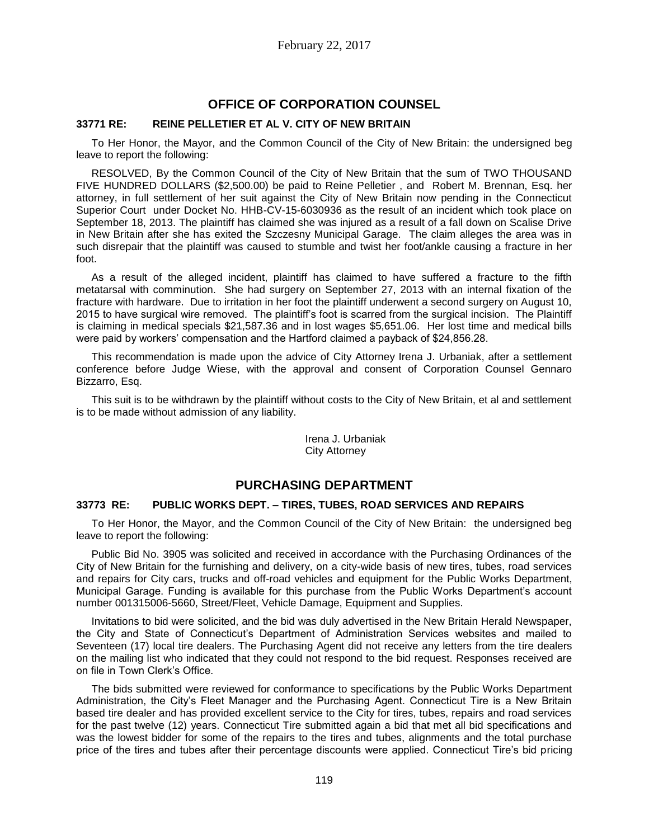# **OFFICE OF CORPORATION COUNSEL**

### **33771 RE: REINE PELLETIER ET AL V. CITY OF NEW BRITAIN**

To Her Honor, the Mayor, and the Common Council of the City of New Britain: the undersigned beg leave to report the following:

RESOLVED, By the Common Council of the City of New Britain that the sum of TWO THOUSAND FIVE HUNDRED DOLLARS (\$2,500.00) be paid to Reine Pelletier , and Robert M. Brennan, Esq. her attorney, in full settlement of her suit against the City of New Britain now pending in the Connecticut Superior Court under Docket No. HHB-CV-15-6030936 as the result of an incident which took place on September 18, 2013. The plaintiff has claimed she was injured as a result of a fall down on Scalise Drive in New Britain after she has exited the Szczesny Municipal Garage. The claim alleges the area was in such disrepair that the plaintiff was caused to stumble and twist her foot/ankle causing a fracture in her foot.

As a result of the alleged incident, plaintiff has claimed to have suffered a fracture to the fifth metatarsal with comminution. She had surgery on September 27, 2013 with an internal fixation of the fracture with hardware. Due to irritation in her foot the plaintiff underwent a second surgery on August 10, 2015 to have surgical wire removed. The plaintiff's foot is scarred from the surgical incision. The Plaintiff is claiming in medical specials \$21,587.36 and in lost wages \$5,651.06. Her lost time and medical bills were paid by workers' compensation and the Hartford claimed a payback of \$24,856.28.

This recommendation is made upon the advice of City Attorney Irena J. Urbaniak, after a settlement conference before Judge Wiese, with the approval and consent of Corporation Counsel Gennaro Bizzarro, Esq.

This suit is to be withdrawn by the plaintiff without costs to the City of New Britain, et al and settlement is to be made without admission of any liability.

> Irena J. Urbaniak City Attorney

# **PURCHASING DEPARTMENT**

### **33773 RE: PUBLIC WORKS DEPT. – TIRES, TUBES, ROAD SERVICES AND REPAIRS**

To Her Honor, the Mayor, and the Common Council of the City of New Britain: the undersigned beg leave to report the following:

Public Bid No. 3905 was solicited and received in accordance with the Purchasing Ordinances of the City of New Britain for the furnishing and delivery, on a city-wide basis of new tires, tubes, road services and repairs for City cars, trucks and off-road vehicles and equipment for the Public Works Department, Municipal Garage. Funding is available for this purchase from the Public Works Department's account number 001315006-5660, Street/Fleet, Vehicle Damage, Equipment and Supplies.

Invitations to bid were solicited, and the bid was duly advertised in the New Britain Herald Newspaper, the City and State of Connecticut's Department of Administration Services websites and mailed to Seventeen (17) local tire dealers. The Purchasing Agent did not receive any letters from the tire dealers on the mailing list who indicated that they could not respond to the bid request. Responses received are on file in Town Clerk's Office.

The bids submitted were reviewed for conformance to specifications by the Public Works Department Administration, the City's Fleet Manager and the Purchasing Agent. Connecticut Tire is a New Britain based tire dealer and has provided excellent service to the City for tires, tubes, repairs and road services for the past twelve (12) years. Connecticut Tire submitted again a bid that met all bid specifications and was the lowest bidder for some of the repairs to the tires and tubes, alignments and the total purchase price of the tires and tubes after their percentage discounts were applied. Connecticut Tire's bid pricing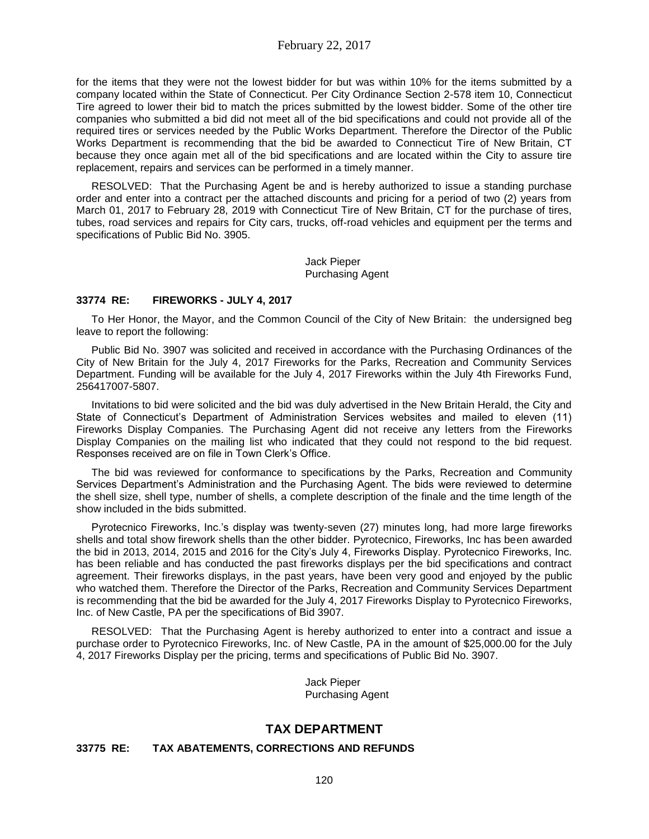for the items that they were not the lowest bidder for but was within 10% for the items submitted by a company located within the State of Connecticut. Per City Ordinance Section 2-578 item 10, Connecticut Tire agreed to lower their bid to match the prices submitted by the lowest bidder. Some of the other tire companies who submitted a bid did not meet all of the bid specifications and could not provide all of the required tires or services needed by the Public Works Department. Therefore the Director of the Public Works Department is recommending that the bid be awarded to Connecticut Tire of New Britain, CT because they once again met all of the bid specifications and are located within the City to assure tire replacement, repairs and services can be performed in a timely manner.

RESOLVED: That the Purchasing Agent be and is hereby authorized to issue a standing purchase order and enter into a contract per the attached discounts and pricing for a period of two (2) years from March 01, 2017 to February 28, 2019 with Connecticut Tire of New Britain, CT for the purchase of tires, tubes, road services and repairs for City cars, trucks, off-road vehicles and equipment per the terms and specifications of Public Bid No. 3905.

> Jack Pieper Purchasing Agent

### **33774 RE: FIREWORKS - JULY 4, 2017**

To Her Honor, the Mayor, and the Common Council of the City of New Britain: the undersigned beg leave to report the following:

Public Bid No. 3907 was solicited and received in accordance with the Purchasing Ordinances of the City of New Britain for the July 4, 2017 Fireworks for the Parks, Recreation and Community Services Department. Funding will be available for the July 4, 2017 Fireworks within the July 4th Fireworks Fund, 256417007-5807.

Invitations to bid were solicited and the bid was duly advertised in the New Britain Herald, the City and State of Connecticut's Department of Administration Services websites and mailed to eleven (11) Fireworks Display Companies. The Purchasing Agent did not receive any letters from the Fireworks Display Companies on the mailing list who indicated that they could not respond to the bid request. Responses received are on file in Town Clerk's Office.

The bid was reviewed for conformance to specifications by the Parks, Recreation and Community Services Department's Administration and the Purchasing Agent. The bids were reviewed to determine the shell size, shell type, number of shells, a complete description of the finale and the time length of the show included in the bids submitted.

Pyrotecnico Fireworks, Inc.'s display was twenty-seven (27) minutes long, had more large fireworks shells and total show firework shells than the other bidder. Pyrotecnico, Fireworks, Inc has been awarded the bid in 2013, 2014, 2015 and 2016 for the City's July 4, Fireworks Display. Pyrotecnico Fireworks, Inc. has been reliable and has conducted the past fireworks displays per the bid specifications and contract agreement. Their fireworks displays, in the past years, have been very good and enjoyed by the public who watched them. Therefore the Director of the Parks, Recreation and Community Services Department is recommending that the bid be awarded for the July 4, 2017 Fireworks Display to Pyrotecnico Fireworks, Inc. of New Castle, PA per the specifications of Bid 3907.

RESOLVED: That the Purchasing Agent is hereby authorized to enter into a contract and issue a purchase order to Pyrotecnico Fireworks, Inc. of New Castle, PA in the amount of \$25,000.00 for the July 4, 2017 Fireworks Display per the pricing, terms and specifications of Public Bid No. 3907.

> Jack Pieper Purchasing Agent

# **TAX DEPARTMENT**

### **33775 RE: TAX ABATEMENTS, CORRECTIONS AND REFUNDS**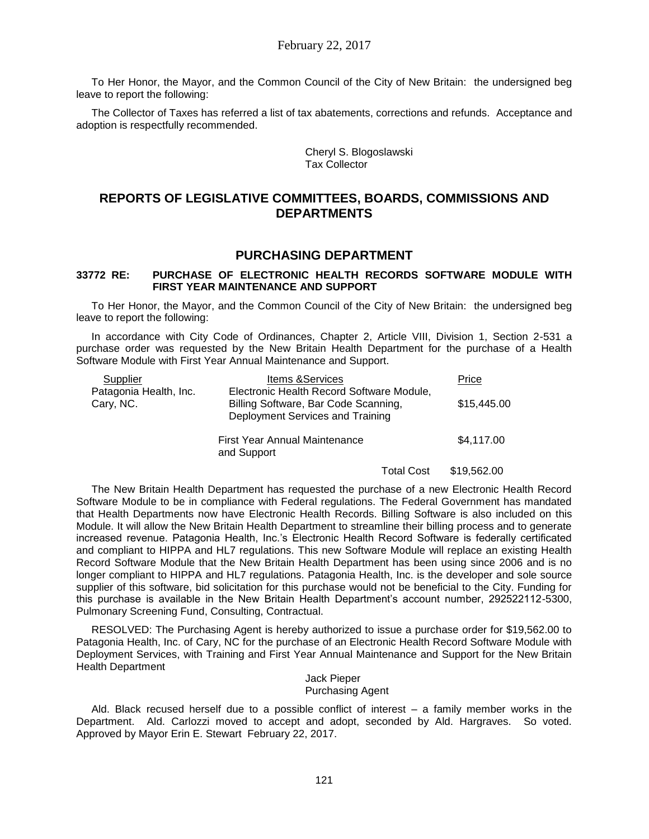To Her Honor, the Mayor, and the Common Council of the City of New Britain: the undersigned beg leave to report the following:

The Collector of Taxes has referred a list of tax abatements, corrections and refunds. Acceptance and adoption is respectfully recommended.

> Cheryl S. Blogoslawski Tax Collector

# **REPORTS OF LEGISLATIVE COMMITTEES, BOARDS, COMMISSIONS AND DEPARTMENTS**

## **PURCHASING DEPARTMENT**

#### **33772 RE: PURCHASE OF ELECTRONIC HEALTH RECORDS SOFTWARE MODULE WITH FIRST YEAR MAINTENANCE AND SUPPORT**

To Her Honor, the Mayor, and the Common Council of the City of New Britain: the undersigned beg leave to report the following:

In accordance with City Code of Ordinances, Chapter 2, Article VIII, Division 1, Section 2-531 a purchase order was requested by the New Britain Health Department for the purchase of a Health Software Module with First Year Annual Maintenance and Support.

| Supplier                            | <b>Items &amp; Services</b>                                                                                           |            | Price       |
|-------------------------------------|-----------------------------------------------------------------------------------------------------------------------|------------|-------------|
| Patagonia Health, Inc.<br>Cary, NC. | Electronic Health Record Software Module,<br>Billing Software, Bar Code Scanning,<br>Deployment Services and Training |            | \$15,445.00 |
|                                     | First Year Annual Maintenance<br>and Support                                                                          |            | \$4,117.00  |
|                                     |                                                                                                                       | Total Cost | \$19,562,00 |

The New Britain Health Department has requested the purchase of a new Electronic Health Record Software Module to be in compliance with Federal regulations. The Federal Government has mandated that Health Departments now have Electronic Health Records. Billing Software is also included on this Module. It will allow the New Britain Health Department to streamline their billing process and to generate increased revenue. Patagonia Health, Inc.'s Electronic Health Record Software is federally certificated and compliant to HIPPA and HL7 regulations. This new Software Module will replace an existing Health Record Software Module that the New Britain Health Department has been using since 2006 and is no longer compliant to HIPPA and HL7 regulations. Patagonia Health, Inc. is the developer and sole source supplier of this software, bid solicitation for this purchase would not be beneficial to the City. Funding for this purchase is available in the New Britain Health Department's account number, 292522112-5300, Pulmonary Screening Fund, Consulting, Contractual.

RESOLVED: The Purchasing Agent is hereby authorized to issue a purchase order for \$19,562.00 to Patagonia Health, Inc. of Cary, NC for the purchase of an Electronic Health Record Software Module with Deployment Services, with Training and First Year Annual Maintenance and Support for the New Britain Health Department

#### Jack Pieper Purchasing Agent

Ald. Black recused herself due to a possible conflict of interest – a family member works in the Department. Ald. Carlozzi moved to accept and adopt, seconded by Ald. Hargraves. So voted. Approved by Mayor Erin E. Stewart February 22, 2017.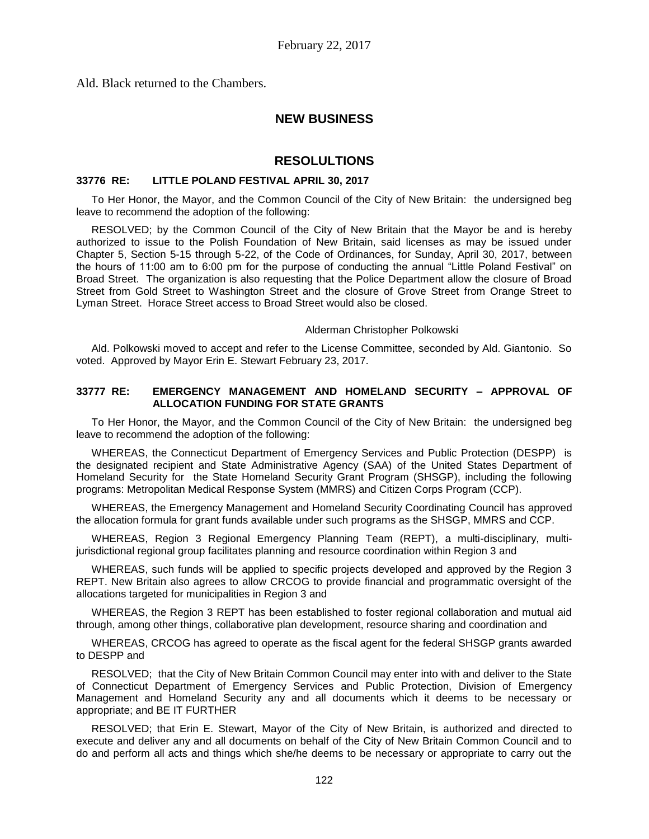Ald. Black returned to the Chambers.

# **NEW BUSINESS**

# **RESOLULTIONS**

### **33776 RE: LITTLE POLAND FESTIVAL APRIL 30, 2017**

To Her Honor, the Mayor, and the Common Council of the City of New Britain: the undersigned beg leave to recommend the adoption of the following:

RESOLVED; by the Common Council of the City of New Britain that the Mayor be and is hereby authorized to issue to the Polish Foundation of New Britain, said licenses as may be issued under Chapter 5, Section 5-15 through 5-22, of the Code of Ordinances, for Sunday, April 30, 2017, between the hours of 11:00 am to 6:00 pm for the purpose of conducting the annual "Little Poland Festival" on Broad Street. The organization is also requesting that the Police Department allow the closure of Broad Street from Gold Street to Washington Street and the closure of Grove Street from Orange Street to Lyman Street. Horace Street access to Broad Street would also be closed.

Alderman Christopher Polkowski

Ald. Polkowski moved to accept and refer to the License Committee, seconded by Ald. Giantonio. So voted. Approved by Mayor Erin E. Stewart February 23, 2017.

### **33777 RE: EMERGENCY MANAGEMENT AND HOMELAND SECURITY – APPROVAL OF ALLOCATION FUNDING FOR STATE GRANTS**

To Her Honor, the Mayor, and the Common Council of the City of New Britain: the undersigned beg leave to recommend the adoption of the following:

WHEREAS, the Connecticut Department of Emergency Services and Public Protection (DESPP) is the designated recipient and State Administrative Agency (SAA) of the United States Department of Homeland Security for the State Homeland Security Grant Program (SHSGP), including the following programs: Metropolitan Medical Response System (MMRS) and Citizen Corps Program (CCP).

WHEREAS, the Emergency Management and Homeland Security Coordinating Council has approved the allocation formula for grant funds available under such programs as the SHSGP, MMRS and CCP.

WHEREAS, Region 3 Regional Emergency Planning Team (REPT), a multi-disciplinary, multijurisdictional regional group facilitates planning and resource coordination within Region 3 and

WHEREAS, such funds will be applied to specific projects developed and approved by the Region 3 REPT. New Britain also agrees to allow CRCOG to provide financial and programmatic oversight of the allocations targeted for municipalities in Region 3 and

WHEREAS, the Region 3 REPT has been established to foster regional collaboration and mutual aid through, among other things, collaborative plan development, resource sharing and coordination and

WHEREAS, CRCOG has agreed to operate as the fiscal agent for the federal SHSGP grants awarded to DESPP and

RESOLVED; that the City of New Britain Common Council may enter into with and deliver to the State of Connecticut Department of Emergency Services and Public Protection, Division of Emergency Management and Homeland Security any and all documents which it deems to be necessary or appropriate; and BE IT FURTHER

RESOLVED; that Erin E. Stewart, Mayor of the City of New Britain, is authorized and directed to execute and deliver any and all documents on behalf of the City of New Britain Common Council and to do and perform all acts and things which she/he deems to be necessary or appropriate to carry out the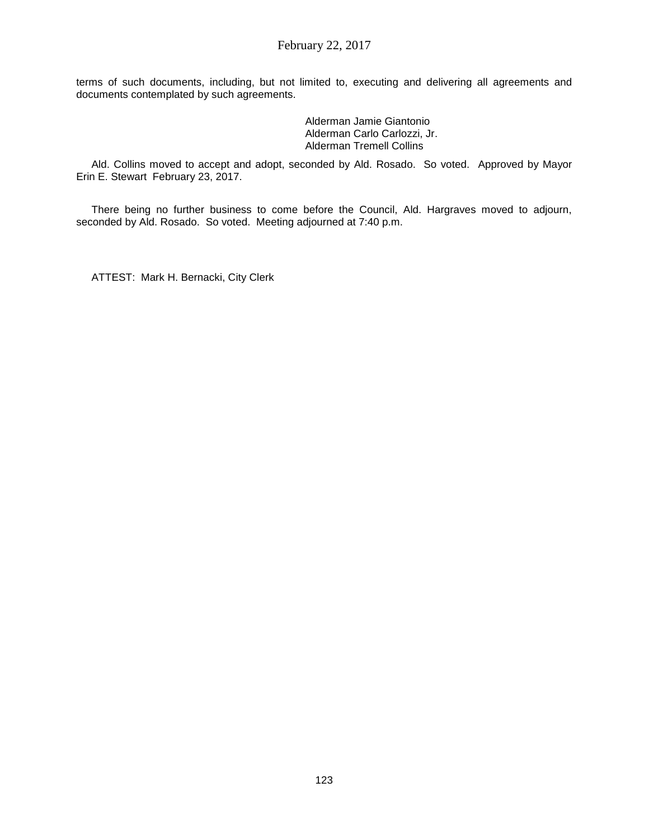terms of such documents, including, but not limited to, executing and delivering all agreements and documents contemplated by such agreements.

> Alderman Jamie Giantonio Alderman Carlo Carlozzi, Jr. Alderman Tremell Collins

Ald. Collins moved to accept and adopt, seconded by Ald. Rosado. So voted. Approved by Mayor Erin E. Stewart February 23, 2017.

There being no further business to come before the Council, Ald. Hargraves moved to adjourn, seconded by Ald. Rosado. So voted. Meeting adjourned at 7:40 p.m.

ATTEST: Mark H. Bernacki, City Clerk